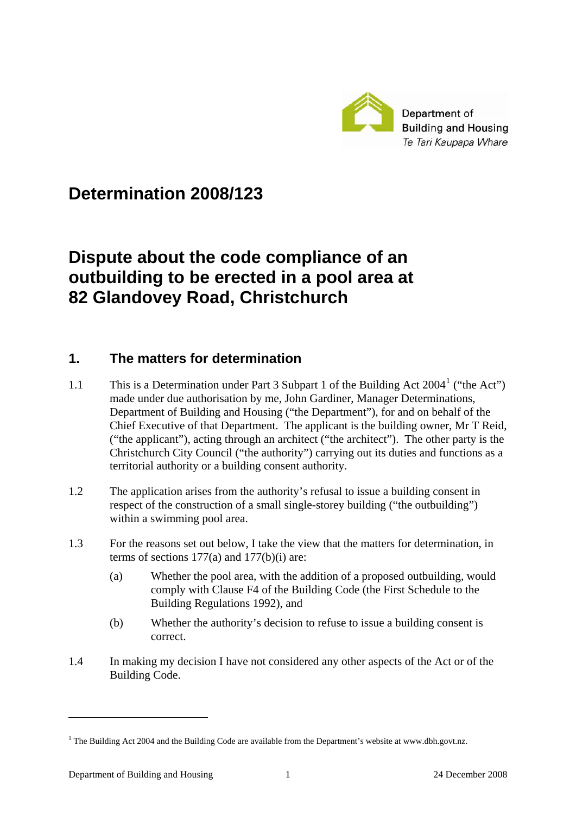

## **Determination 2008/123**

# **Dispute about the code compliance of an outbuilding to be erected in a pool area at 82 Glandovey Road, Christchurch**

#### **1. The matters for determination**

- [1](#page-0-0).1 This is a Determination under Part 3 Subpart 1 of the Building Act 2004<sup>1</sup> ("the Act") made under due authorisation by me, John Gardiner, Manager Determinations, Department of Building and Housing ("the Department"), for and on behalf of the Chief Executive of that Department. The applicant is the building owner, Mr T Reid, ("the applicant"), acting through an architect ("the architect"). The other party is the Christchurch City Council ("the authority") carrying out its duties and functions as a territorial authority or a building consent authority.
- 1.2 The application arises from the authority's refusal to issue a building consent in respect of the construction of a small single-storey building ("the outbuilding") within a swimming pool area.
- 1.3 For the reasons set out below, I take the view that the matters for determination, in terms of sections 177(a) and 177(b)(i) are:
	- (a) Whether the pool area, with the addition of a proposed outbuilding, would comply with Clause F4 of the Building Code (the First Schedule to the Building Regulations 1992), and
	- (b) Whether the authority's decision to refuse to issue a building consent is correct.
- 1.4 In making my decision I have not considered any other aspects of the Act or of the Building Code.

1

<span id="page-0-0"></span><sup>&</sup>lt;sup>1</sup> The Building Act 2004 and the Building Code are available from the Department's website at www.dbh.govt.nz.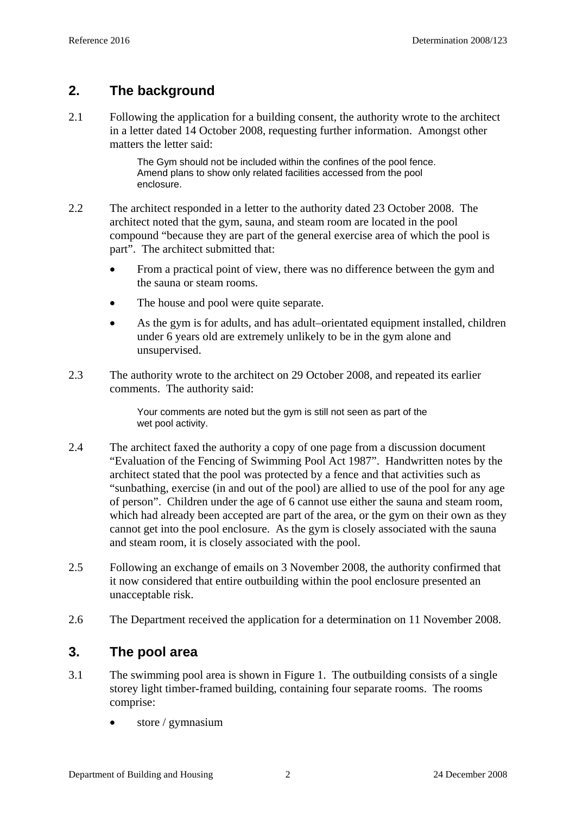## **2. The background**

2.1 Following the application for a building consent, the authority wrote to the architect in a letter dated 14 October 2008, requesting further information. Amongst other matters the letter said:

> The Gym should not be included within the confines of the pool fence. Amend plans to show only related facilities accessed from the pool enclosure.

- 2.2 The architect responded in a letter to the authority dated 23 October 2008. The architect noted that the gym, sauna, and steam room are located in the pool compound "because they are part of the general exercise area of which the pool is part". The architect submitted that:
	- From a practical point of view, there was no difference between the gym and the sauna or steam rooms.
	- The house and pool were quite separate.
	- As the gym is for adults, and has adult–orientated equipment installed, children under 6 years old are extremely unlikely to be in the gym alone and unsupervised.
- 2.3 The authority wrote to the architect on 29 October 2008, and repeated its earlier comments. The authority said:

Your comments are noted but the gym is still not seen as part of the wet pool activity.

- 2.4 The architect faxed the authority a copy of one page from a discussion document "Evaluation of the Fencing of Swimming Pool Act 1987". Handwritten notes by the architect stated that the pool was protected by a fence and that activities such as "sunbathing, exercise (in and out of the pool) are allied to use of the pool for any age of person". Children under the age of 6 cannot use either the sauna and steam room, which had already been accepted are part of the area, or the gym on their own as they cannot get into the pool enclosure. As the gym is closely associated with the sauna and steam room, it is closely associated with the pool.
- 2.5 Following an exchange of emails on 3 November 2008, the authority confirmed that it now considered that entire outbuilding within the pool enclosure presented an unacceptable risk.
- 2.6 The Department received the application for a determination on 11 November 2008.

## **3. The pool area**

- 3.1 The swimming pool area is shown in Figure 1. The outbuilding consists of a single storey light timber-framed building, containing four separate rooms. The rooms comprise:
	- store / gymnasium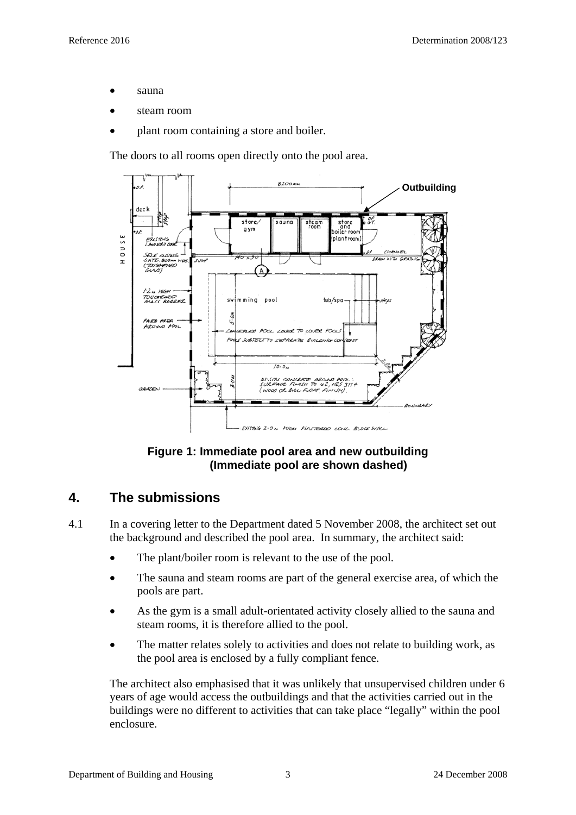- sauna
- steam room
- plant room containing a store and boiler.

The doors to all rooms open directly onto the pool area.



**Figure 1: Immediate pool area and new outbuilding (Immediate pool are shown dashed)** 

#### **4. The submissions**

- 4.1 In a covering letter to the Department dated 5 November 2008, the architect set out the background and described the pool area. In summary, the architect said:
	- The plant/boiler room is relevant to the use of the pool.
	- The sauna and steam rooms are part of the general exercise area, of which the pools are part.
	- As the gym is a small adult-orientated activity closely allied to the sauna and steam rooms, it is therefore allied to the pool.
	- The matter relates solely to activities and does not relate to building work, as the pool area is enclosed by a fully compliant fence.

The architect also emphasised that it was unlikely that unsupervised children under 6 years of age would access the outbuildings and that the activities carried out in the buildings were no different to activities that can take place "legally" within the pool enclosure.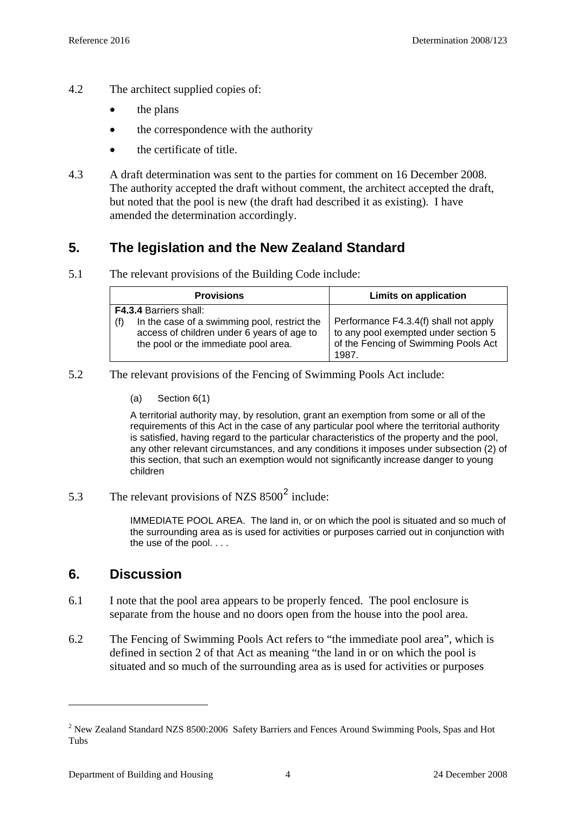- 4.2 The architect supplied copies of:
	- the plans
	- the correspondence with the authority
	- the certificate of title.
- 4.3 A draft determination was sent to the parties for comment on 16 December 2008. The authority accepted the draft without comment, the architect accepted the draft, but noted that the pool is new (the draft had described it as existing). I have amended the determination accordingly.

## **5. The legislation and the New Zealand Standard**

5.1 The relevant provisions of the Building Code include:

| <b>Provisions</b>                                                                                                                         | <b>Limits on application</b>                                                                                                   |
|-------------------------------------------------------------------------------------------------------------------------------------------|--------------------------------------------------------------------------------------------------------------------------------|
| <b>F4.3.4 Barriers shall:</b>                                                                                                             |                                                                                                                                |
| In the case of a swimming pool, restrict the<br>(f)<br>access of children under 6 years of age to<br>the pool or the immediate pool area. | Performance F4.3.4(f) shall not apply<br>to any pool exempted under section 5<br>of the Fencing of Swimming Pools Act<br>1987. |

- 5.2 The relevant provisions of the Fencing of Swimming Pools Act include:
	- (a) Section 6(1)

A territorial authority may, by resolution, grant an exemption from some or all of the requirements of this Act in the case of any particular pool where the territorial authority is satisfied, having regard to the particular characteristics of the property and the pool, any other relevant circumstances, and any conditions it imposes under subsection (2) of this section, that such an exemption would not significantly increase danger to young children

5.3 The relevant provisions of NZS  $8500^2$  $8500^2$  include:

IMMEDIATE POOL AREA. The land in, or on which the pool is situated and so much of the surrounding area as is used for activities or purposes carried out in conjunction with the use of the pool. . . .

#### **6. Discussion**

<u>.</u>

- 6.1 I note that the pool area appears to be properly fenced. The pool enclosure is separate from the house and no doors open from the house into the pool area.
- 6.2 The Fencing of Swimming Pools Act refers to "the immediate pool area", which is defined in section 2 of that Act as meaning "the land in or on which the pool is situated and so much of the surrounding area as is used for activities or purposes

<span id="page-3-0"></span> $2$  New Zealand Standard NZS 8500:2006 Safety Barriers and Fences Around Swimming Pools, Spas and Hot Tubs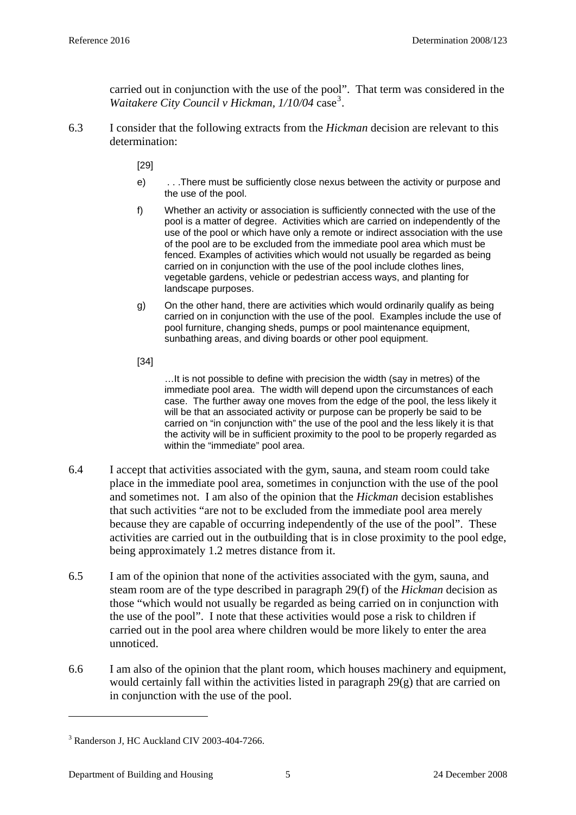carried out in conjunction with the use of the pool". That term was considered in the Waitakere City Council v Hickman, 1/10/04 case<sup>[3](#page-4-0)</sup>.

6.3 I consider that the following extracts from the *Hickman* decision are relevant to this determination:

[29]

- e) . . .There must be sufficiently close nexus between the activity or purpose and the use of the pool.
- f) Whether an activity or association is sufficiently connected with the use of the pool is a matter of degree. Activities which are carried on independently of the use of the pool or which have only a remote or indirect association with the use of the pool are to be excluded from the immediate pool area which must be fenced. Examples of activities which would not usually be regarded as being carried on in conjunction with the use of the pool include clothes lines, vegetable gardens, vehicle or pedestrian access ways, and planting for landscape purposes.
- g) On the other hand, there are activities which would ordinarily qualify as being carried on in conjunction with the use of the pool. Examples include the use of pool furniture, changing sheds, pumps or pool maintenance equipment, sunbathing areas, and diving boards or other pool equipment.
- [34]

…It is not possible to define with precision the width (say in metres) of the immediate pool area. The width will depend upon the circumstances of each case. The further away one moves from the edge of the pool, the less likely it will be that an associated activity or purpose can be properly be said to be carried on "in conjunction with" the use of the pool and the less likely it is that the activity will be in sufficient proximity to the pool to be properly regarded as within the "immediate" pool area.

- 6.4 I accept that activities associated with the gym, sauna, and steam room could take place in the immediate pool area, sometimes in conjunction with the use of the pool and sometimes not. I am also of the opinion that the *Hickman* decision establishes that such activities "are not to be excluded from the immediate pool area merely because they are capable of occurring independently of the use of the pool". These activities are carried out in the outbuilding that is in close proximity to the pool edge, being approximately 1.2 metres distance from it.
- 6.5 I am of the opinion that none of the activities associated with the gym, sauna, and steam room are of the type described in paragraph 29(f) of the *Hickman* decision as those "which would not usually be regarded as being carried on in conjunction with the use of the pool". I note that these activities would pose a risk to children if carried out in the pool area where children would be more likely to enter the area unnoticed.
- 6.6 I am also of the opinion that the plant room, which houses machinery and equipment, would certainly fall within the activities listed in paragraph 29(g) that are carried on in conjunction with the use of the pool.

1

<span id="page-4-0"></span><sup>3</sup> Randerson J, HC Auckland CIV 2003-404-7266.